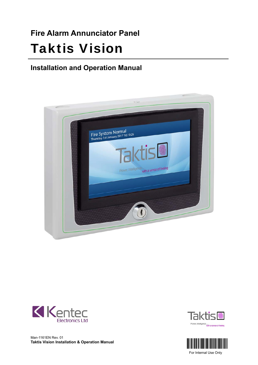# **Fire Alarm Annunciator Panel** Taktis Vision

## **Installation and Operation Manual**











For Internal Use Only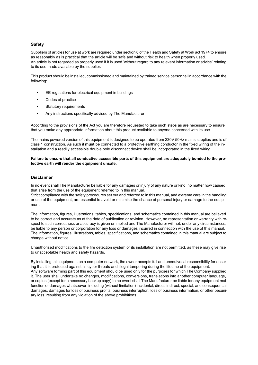#### **Safety**

Suppliers of articles for use at work are required under section 6 of the Health and Safety at Work act 1974 to ensure as reasonably as is practical that the article will be safe and without risk to health when properly used. An article is not regarded as properly used if it is used 'without regard to any relevant information or advice' relating to its use made available by the supplier.

This product should be installed, commissioned and maintained by trained service personnel in accordance with the following:

- EE regulations for electrical equipment in buildings
- Codes of practice
- Statutory requirements
- Any instructions specifically advised by The Manufacturer

According to the provisions of the Act you are therefore requested to take such steps as are necessary to ensure that you make any appropriate information about this product available to anyone concerned with its use.

The mains powered version of this equipment is designed to be operated from 230V 50Hz mains supplies and is of class 1 construction. As such it **must** be connected to a protective earthing conductor in the fixed wiring of the installation and a readily accessible double pole disconnect device shall be incorporated in the fixed wiring.

#### **Failure to ensure that all conductive accessible parts of this equipment are adequately bonded to the protective earth will render the equipment unsafe.**

#### **Disclaimer**

In no event shall The Manufacturer be liable for any damages or injury of any nature or kind, no matter how caused, that arise from the use of the equipment referred to in this manual.

Strict compliance with the safety procedures set out and referred to in this manual, and extreme care in the handling or use of the equipment, are essential to avoid or minimise the chance of personal injury or damage to the equipment.

The information, figures, illustrations, tables, specifications, and schematics contained in this manual are believed to be correct and accurate as at the date of publication or revision. However, no representation or warranty with respect to such correctness or accuracy is given or implied and The Manufacturer will not, under any circumstances, be liable to any person or corporation for any loss or damages incurred in connection with the use of this manual. The information, figures, illustrations, tables, specifications, and schematics contained in this manual are subject to change without notice.

Unauthorised modifications to the fire detection system or its installation are not permitted, as these may give rise to unacceptable health and safety hazards.

By installing this equipment on a computer network, the owner accepts full and unequivocal responsibility for ensuring that it is protected against all cyber threats and illegal tampering during the lifetime of the equipment. Any software forming part of this equipment should be used only for the purposes for which The Company supplied it. The user shall undertake no changes, modifications, conversions, translations into another computer language, or copies (except for a necessary backup copy).In no event shall The Manufacturer be liable for any equipment malfunction or damages whatsoever, including (without limitation) incidental, direct, indirect, special, and consequential damages, damages for loss of business profits, business interruption, loss of business information, or other pecuniary loss, resulting from any violation of the above prohibitions.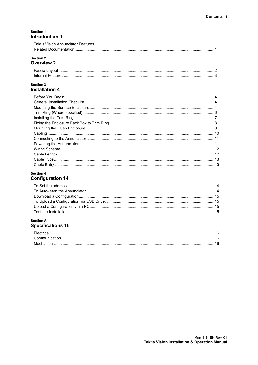#### Section 1 **Introduction 1**

#### **Section 2 Overview 2**

#### Section 3 **Installation 4**

## Section 4 **Configuration 14**

#### **Section A Specifications 16**

| Flectricar |  |
|------------|--|
|            |  |
|            |  |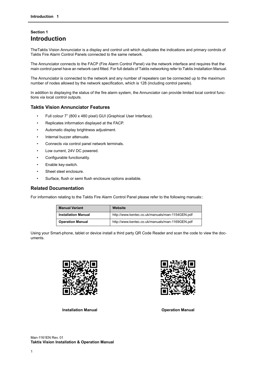## <span id="page-3-1"></span><span id="page-3-0"></span>**Section 1 Introduction**

TheTaktis Vision Annunciator is a display and control unit which duplicates the indications and primary controls of Taktis Fire Alarm Control Panels connected to the same network.

The Annunciator connects to the FACP (Fire Alarm Control Panel) via the network interface and requires that the main control panel have an network card fitted. For full details of Taktis networking refer to Taktis Installation Manual.

The Annunciator is connected to the network and any number of repeaters can be connected up to the maximum number of nodes allowed by the network specification, which is 128 (including control panels).

In addition to displaying the status of the fire alarm system, the Annunciator can provide limited local control functions via local control outputs.

#### <span id="page-3-2"></span>**Taktis Vision Annunciator Features**

- Full colour 7" (800 x 480 pixel) GUI (Graphical User Interface).
- Replicates information displayed at the FACP.
- Automatic display brightness adjustment.
- Internal buzzer attenuate.
- Connects via control panel network terminals.
- Low current, 24V DC powered.
- Configurable functionality.
- Enable key-switch.
- Sheet steel enclosure.
- Surface, flush or semi flush enclosure options available.

## <span id="page-3-3"></span>**Related Documentation**

For information relating to the Taktis Fire Alarm Control Panel please refer to the following manuals::

| <b>Manual Variant</b>      | Website                                         |
|----------------------------|-------------------------------------------------|
| <b>Installation Manual</b> | http://www.kentec.co.uk/manuals/man-1154GEN.pdf |
| <b>Operation Manual</b>    | http://www.kentec.co.uk/manuals/man-1169GEN.pdf |

Using your Smart-phone, tablet or device install a third party QR Code Reader and scan the code to view the documents.





**Installation Manual Communisty Constraining Communisty Communisty Communisty Communisty Communisty Communisty**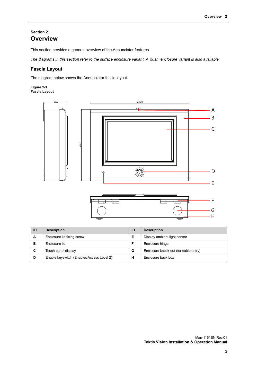## <span id="page-4-1"></span><span id="page-4-0"></span>**Section 2 Overview**

This section provides a general overview of the Annunciator features.

*The diagrams in this section refer to the surface enclosure variant. A 'flush' enclosure variant is also available.*

## <span id="page-4-2"></span>**Fascia Layout**

The diagram below shows the Annunciator fascia layout.

#### **Figure 2-1 Fascia Layout**



| ID | <b>Description</b>                        | ID | <b>Description</b>                    |
|----|-------------------------------------------|----|---------------------------------------|
| A  | Enclosure lid fixing screw                | Е  | Display ambient light sensor          |
| в  | Enclosure lid                             |    | Enclosure hinge                       |
| C  | Touch panel display                       | G  | Enclosure knock-out (for cable entry) |
| D  | Enable keyswitch (Enables Access Level 2) | н  | Enclosure back box                    |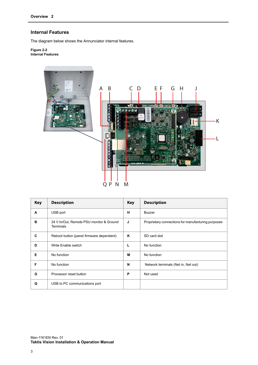## <span id="page-5-0"></span>**Internal Features**

The diagram below shows the Annunciator internal features.

**Figure 2-2 Internal Features**



| <b>Key</b> | <b>Description</b>                                           | <b>Key</b> | <b>Description</b>                                 |
|------------|--------------------------------------------------------------|------------|----------------------------------------------------|
| A          | USB port                                                     | н          | <b>Buzzer</b>                                      |
| в          | 24 V In/Out, Remote PSU monitor & Ground<br><b>Terminals</b> | J          | Proprietary connections for manufacturing purposes |
| C          | Reboot button (panel firmware dependent)                     | ĸ          | SD card slot                                       |
| D          | Write Enable switch                                          | L          | No function                                        |
| Е          | No function                                                  | М          | No function                                        |
| F          | No function                                                  | N          | Network terminals (Net in, Net out)                |
| G          | Processor reset button                                       | P          | Not used                                           |
| Q          | USB to PC communications port                                |            |                                                    |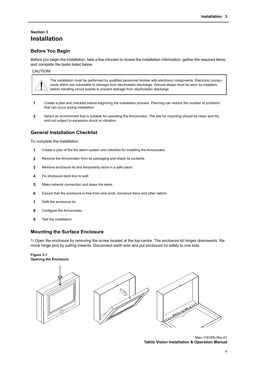## <span id="page-6-1"></span><span id="page-6-0"></span>**Section 3 Installation**

## <span id="page-6-2"></span>**Before You Begin**

Before you begin the installation, take a few minutes to review the installation information, gather the required items, and complete the tasks listed below.

#### CAUTION!

The installation must be performed by qualified personnel familiar with electronic components. Electronic components within are vulnerable to damage from electrostatic discharge. Ground straps must be worn by installers before handling circuit boards to prevent damage from electrostatic discharge.

- **1** Create a plan and checklist before beginning the installation process. Planning can reduce the number of problems that can occur during installation.
- **2** Select an environment that is suitable for operating the Annunciator. The site for mounting should be clean and dry and not subject to excessive shock or vibration.

## <span id="page-6-3"></span>**General Installation Checklist**

To complete the installation:

- **1** Create a plan of the fire alarm system and checklist for installing the Annunciator.
- **2** Remove the Annunciator from its packaging and check its contents.
- **3** Remove enclosure lid and temporarily store in a safe place.
- **4** Fix enclosure back box to wall.
- **5** Make network connection and dress the wires.
- **6** Ensure that the enclosure is free from wire ends, knockout discs and other debris.
- **7** Refit the enclosure lid.
- **8** Configure the Annunciator.
- **9** Test the installation.

#### <span id="page-6-4"></span>**Mounting the Surface Enclosure**

1/ Open the enclosure by removing the screw located at the top-centre. The enclosure lid hinges downwards. Remove hinge pins by pulling inwards. Disconnect earth wire and put enclosure lid safely to one side.

#### **Figure 3-1 Opening the Enclosure**



Man-1161EN Rev.01 **Taktis Vision Installation & Operation Manual**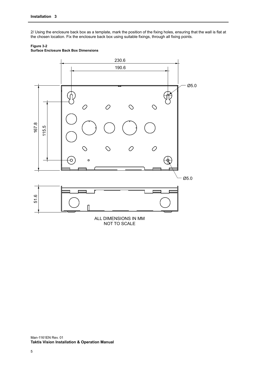2/ Using the enclosure back box as a template, mark the position of the fixing holes, ensuring that the wall is flat at the chosen location. Fix the enclosure back box using suitable fixings, through all fixing points.



## **Figure 3-2**

**Surface Enclosure Back Box Dimensions**

NOT TO SCALE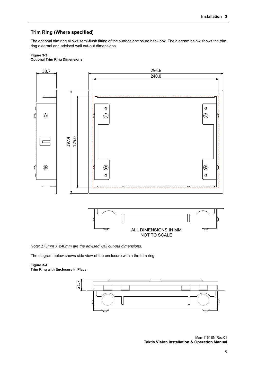## <span id="page-8-0"></span>**Trim Ring (Where specified)**

The optional trim ring allows semi-flush fitting of the surface enclosure back box. The diagram below shows the trim ring external and advised wall cut-out dimensions.

#### **Figure 3-3 Optional Trim Ring Dimensions**



*Note: 175mm X 240mm are the advised wall cut-out dimensions.*

The diagram below shows side view of the enclosure within the trim ring.

#### **Figure 3-4 Trim Ring with Enclosure in Place**

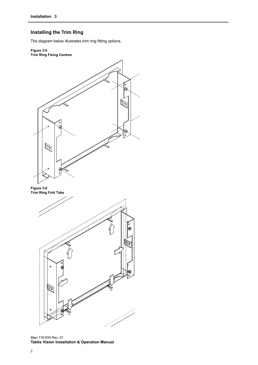## <span id="page-9-0"></span>**Installing the Trim Ring**

The diagram below illustrates trim ring fitting options.

#### **Figure 3-5 Trim Ring Fixing Centres**



**Figure 3-6 Trim Ring Fold Tabs** 



Man-1161EN Rev. 01 **Taktis Vision Installation & Operation Manual**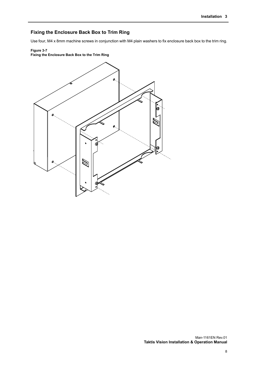## <span id="page-10-0"></span>**Fixing the Enclosure Back Box to Trim Ring**

Use four, M4 x 8mm machine screws in conjunction with M4 plain washers to fix enclosure back box to the trim ring.

## **Figure 3-7**

## **Fixing the Enclosure Back Box to the Trim Ring**

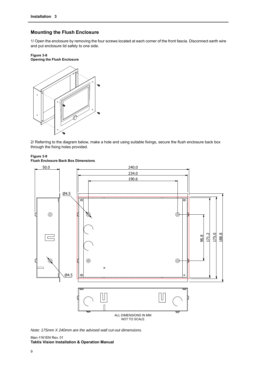## <span id="page-11-0"></span>**Mounting the Flush Enclosure**

1/ Open the enclosure by removing the four screws located at each corner of the front fascia. Disconnect earth wire and put enclosure lid safely to one side.

#### **Figure 3-8 Opening the Flush Enclosure**



2/ Referring to the diagram below, make a hole and using suitable fixings, secure the flush enclosure back box through the fixing holes provided.

#### **Figure 3-9 Flush Enclosure Back Box Dimensions**



*Note: 175mm X 240mm are the advised wall cut-out dimensions.*

#### Man-1161EN Rev. 01 **Taktis Vision Installation & Operation Manual**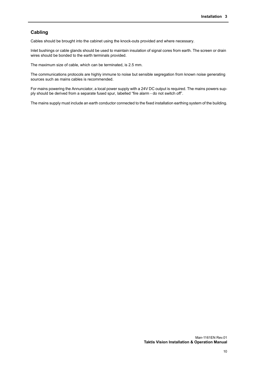#### <span id="page-12-0"></span>**Cabling**

Cables should be brought into the cabinet using the knock-outs provided and where necessary.

Inlet bushings or cable glands should be used to maintain insulation of signal cores from earth. The screen or drain wires should be bonded to the earth terminals provided.

The maximum size of cable, which can be terminated, is 2.5 mm.

The communications protocols are highly immune to noise but sensible segregation from known noise generating sources such as mains cables is recommended.

For mains powering the Annunciator, a local power supply with a 24V DC output is required. The mains powers supply should be derived from a separate fused spur, labelled "fire alarm - do not switch off".

The mains supply must include an earth conductor connected to the fixed installation earthing system of the building.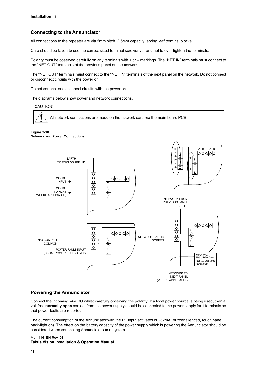## <span id="page-13-0"></span>**Connecting to the Annunciator**

All connections to the repeater are via 5mm pitch, 2.5mm capacity, spring leaf terminal blocks.

Care should be taken to use the correct sized terminal screwdriver and not to over tighten the terminals.

Polarity must be observed carefully on any terminals with + or – markings. The "NET IN" terminals must connect to the "NET OUT" terminals of the previous panel on the network.

The "NET OUT" terminals must connect to the "NET IN" terminals of the next panel on the network. Do not connect or disconnect circuits with the power on.

Do not connect or disconnect circuits with the power on.

The diagrams below show power and network connections.

CAUTION!

All network connections are made on the network card *not* the main board PCB.

#### **Figure 3-10 Network and Power Connections**



#### <span id="page-13-1"></span>**Powering the Annunciator**

Connect the incoming 24V DC whilst carefully observing the polarity. If a local power source is being used, then a volt free **normally open** contact from the power supply should be connected to the power supply fault terminals so that power faults are reported.

The current consumption of the Annunciator with the PF input activated is 232mA (buzzer silenced, touch panel back-light on). The effect on the battery capacity of the power supply which is powering the Annunciator should be considered when connecting Annunciators to a system.

#### Man-1161EN Rev. 01 **Taktis Vision Installation & Operation Manual**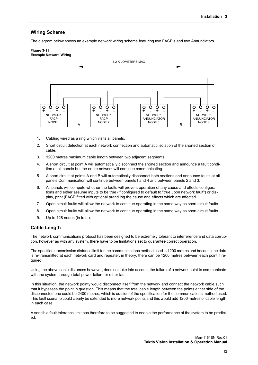## <span id="page-14-0"></span>**Wiring Scheme**

The diagram below shows an example network wiring scheme featuring two FACP's and two Annunciators.

#### **Figure 3-11 Example Network Wiring**



- 1. Cabling wired as a ring which visits all panels.
- 2. Short circuit detection at each network connection and automatic isolation of the shorted section of cable.
- 3. 1200 metres maximum cable length between two adjacent segments.
- 4. A short circuit at point A will automatically disconnect the shorted section and announce a fault condition at all panels but the entire network will continue communicating.
- 5. A short circuit at points A and B will automatically disconnect both sections and announce faults at all panels Communication will continue between panels1 and 4 and between panels 2 and 3.
- 6. All panels will compute whether the faults will prevent operation of any cause and effects configurations and either assume inputs to be true (if configured to default to "true upon network fault") or display, print (FACP fitted with optional prand log the cause and effects which are affected.
- 7. Open circuit faults will allow the network to continue operating in the same way as short circuit faults.
- 8. Open circuit faults will allow the network to continue operating in the same way as short circuit faults.
- 9. Up to 128 nodes (in total).

#### <span id="page-14-1"></span>**Cable Length**

The network communications protocol has been designed to be extremely tolerant to interference and data corruption, however as with any system, there have to be limitations set to guarantee correct operation.

The specified transmission distance limit for the communications method used is 1200 metres and because the data is re-transmitted at each network card and repeater, in theory, there can be 1200 metres between each point if required.

Using the above cable distances however, does not take into account the failure of a network point to communicate with the system through total power failure or other fault.

In this situation, the network pointy would disconnect itself from the network and connect the network cable such that it bypasses the point in question. This means that the total cable length between the points either side of the disconnected one could be 2400 metres, which is outside of the specification for the communications method used. This fault scenario could clearly be extended to more network points and this would add 1200 metres of cable length in each case.

A sensible fault tolerance limit has therefore to be suggested to enable the performance of the system to be predicted.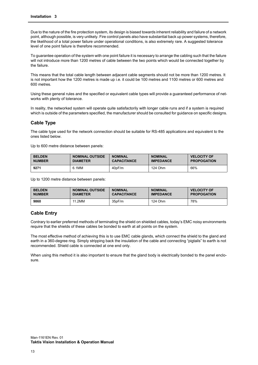Due to the nature of the fire protection system, its design is biased towards inherent reliability and failure of a network point, although possible, is very unlikely. Fire control panels also have substantial back up power systems, therefore, the likelihood of a total power failure under operational conditions, is also extremely rare. A suggested tolerance level of one point failure is therefore recommended.

To guarantee operation of the system with one point failure it is necessary to arrange the cabling such that the failure will not introduce more than 1200 metres of cable between the two points which would be connected together by the failure.

This means that the total cable length between adjacent cable segments should not be more than 1200 metres. It is not important how the 1200 metres is made up i.e. it could be 100 metres and 1100 metres or 600 metres and 600 metres.

Using these general rules and the specified or equivalent cable types will provide a guaranteed performance of networks with plenty of tolerance.

In reality, the networked system will operate quite satisfactorily with longer cable runs and if a system is required which is outside of the parameters specified, the manufacturer should be consulted for guidance on specific designs.

#### <span id="page-15-0"></span>**Cable Type**

The cable type used for the network connection should be suitable for RS-485 applications and equivalent to the ones listed below.

Up to 600 metre distance between panels:

| <b>BELDEN</b> | <b>NOMINAL OUTSIDE</b> | <b>NOMINAL</b>     | <b>NOMINAL</b>   | <b>VELOCITY OF</b> |
|---------------|------------------------|--------------------|------------------|--------------------|
| <b>NUMBER</b> | <b>DIAMETER</b>        | <b>CAPACITANCE</b> | <b>IMPEDANCE</b> | <b>PROPOGATION</b> |
| 9271          | 6.1MM                  | 40pF/m             | 124 Ohm          | 66%                |

Up to 1200 metre distance between panels:

| <b>BELDEN</b> | <b>NOMINAL OUTSIDE</b> | <b>NOMINAL</b>     | <b>NOMINAL</b>   | <b>VELOCITY OF</b> |
|---------------|------------------------|--------------------|------------------|--------------------|
| <b>NUMBER</b> | <b>DIAMETER</b>        | <b>CAPACITANCE</b> | <b>IMPEDANCE</b> | <b>PROPOGATION</b> |
| 9860          | 11.2MM                 | 35pF/m             | 124 Ohm          | 78%                |

#### <span id="page-15-1"></span>**Cable Entry**

Contrary to earlier preferred methods of terminating the shield on shielded cables, today's EMC noisy environments require that the shields of these cables be bonded to earth at all points on the system.

The most effective method of achieving this is to use EMC cable glands, which connect the shield to the gland and earth in a 360-degree ring. Simply stripping back the insulation of the cable and connecting "pigtails" to earth is not recommended. Shield cable is connected at one end only.

When using this method it is also important to ensure that the gland body is electrically bonded to the panel enclosure.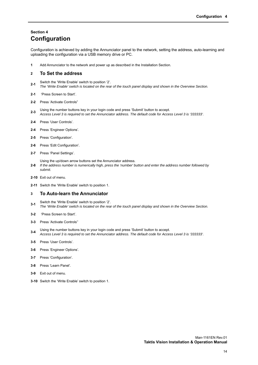## <span id="page-16-1"></span><span id="page-16-0"></span>**Section 4 Configuration**

Configuration is achieved by adding the Annunciator panel to the network, setting the address, auto-learning and uploading the configuration via a USB memory drive or PC.

**1** Add Annunciator to the network and power up as described in the Installation Section.

#### <span id="page-16-2"></span>**2 To Set the address**

- **2-1** Switch the 'Write Enable' switch to position '2'.
- *The 'Write Enable' switch is located on the rear of the touch panel display and shown in the Overview Section.*
- **2-1** 'Press Screen to Start'.
- **2-2** Press 'Activate Controls"
- **2-3** Using the number buttons key in your login code and press 'Submit' button to accept. *Access Level 3 is required to set the Annunciator address. The default code for Access Level 3 is '333333'.*
- **2-4** Press 'User Controls'.
- **2-4** Press 'Engineer Options'.
- **2-5** Press 'Configuration'.
- **2-6** Press 'Edit Configuration'.
- **2-7** Press 'Panel Settings'.

**2-8** Using the up/down arrow buttons set the Annunciator address. *If the address number is numerically high, press the 'number' button and enter the address number followed by submit.* 

- **2-10** Exit out of menu.
- **2-11** Switch the 'Write Enable' switch to position 1.

#### <span id="page-16-3"></span>**3 To Auto-learn the Annunciator**

- **3-1** Switch the 'Write Enable' switch to position '2'. *The 'Write Enable' switch is located on the rear of the touch panel display and shown in the Overview Section.*
- **3-2** 'Press Screen to Start'.
- **3-3** Press 'Activate Controls''
- **3-4** Using the number buttons key in your login code and press 'Submit' button to accept. *Access Level 3 is required to set the Annunciator address. The default code for Access Level 3 is '333333'.*
- **3-5** Press 'User Controls'.
- **3-6** Press 'Engineer Options'.
- **3-7** Press 'Configuration'.
- **3-8** Press 'Learn Panel'.
- **3-9** Exit out of menu.
- **3-10** Switch the 'Write Enable' switch to position 1.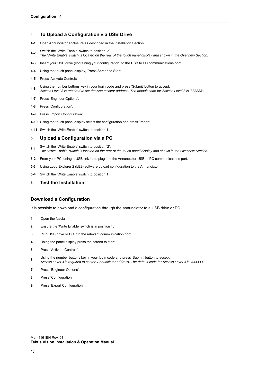#### <span id="page-17-1"></span>**4 To Upload a Configuration via USB Drive**

- **4-1** Open Annunciator enclosure as described in the Installation Section.
- **4-2** Switch the 'Write Enable' switch to position '2'.
- *The 'Write Enable' switch is located on the rear of the touch panel display and shown in the Overview Section.*
- **4-3** Insert your USB drive (containing your configuration) to the USB to PC communications port.
- **4-4** Using the touch panel display, 'Press Screen to Start'.
- **4-5** Press 'Activate Controls''
- **4-6** Using the number buttons key in your login code and press 'Submit' button to accept. *Access Level 3 is required to set the Annunciator address. The default code for Access Level 3 is '333333'.*
- **4-7** Press 'Engineer Options'.
- **4-8** Press 'Configuration'.
- **4-9** Press 'Import Configuration'.
- **4-10** Using the touch panel display select the configuration and press 'Import'
- **4-11** Switch the 'Write Enable' switch to position 1.

#### <span id="page-17-2"></span>**5 Upload a Configuration via a PC**

- **5-1** Switch the 'Write Enable' switch to position '2'. *The 'Write Enable' switch is located on the rear of the touch panel display and shown in the Overview Section.*
- **5-2** From your PC, using a USB link lead, plug into the Annunciator USB to PC communications port.
- **5-3** Using Loop Explorer 2 (LE2) software upload configuration to the Annunciator.
- **5-4** Switch the 'Write Enable' switch to position 1.
- <span id="page-17-3"></span>**6 Test the Installation**

#### <span id="page-17-0"></span>**Download a Configuration**

It is possible to download a configuration through the annunciator to a USB drive or PC.

- **1** Open the fascia
- **2** Ensure the 'Write Enable' switch is in position 1.
- **3** Plug USB drive or PC into the relevant communication port.
- **4** Using the panel display press the screen to start.
- **5** Press 'Activate Controls'
- **6** Using the number buttons key in your login code and press 'Submit' button to accept. *Access Level 3 is required to set the Annunciator address. The default code for Access Level 3 is '333333'.*
- **7** Press 'Engineer Options'.
- **8** Press 'Configuration'.
- **9** Press 'Export Configuration'.